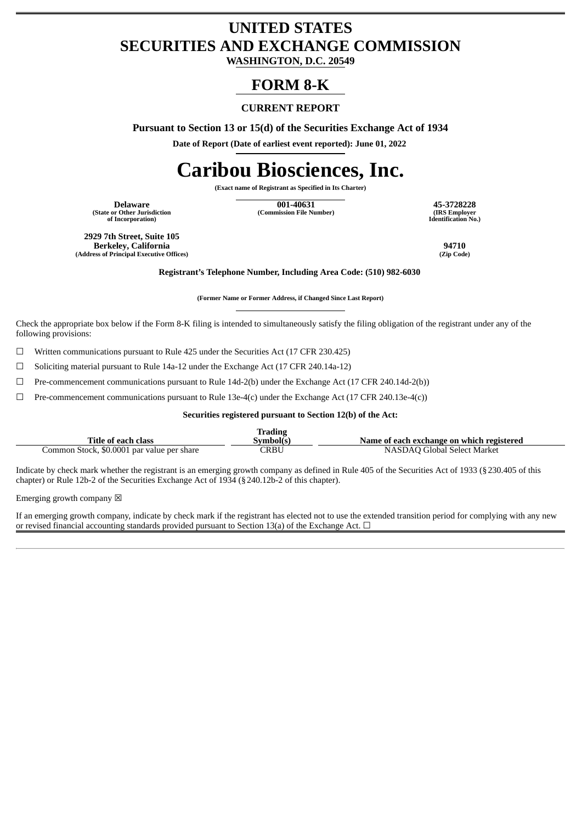# **UNITED STATES SECURITIES AND EXCHANGE COMMISSION**

**WASHINGTON, D.C. 20549**

# **FORM 8-K**

## **CURRENT REPORT**

**Pursuant to Section 13 or 15(d) of the Securities Exchange Act of 1934**

**Date of Report (Date of earliest event reported): June 01, 2022**

# **Caribou Biosciences, Inc.**

**(Exact name of Registrant as Specified in Its Charter)**

**(State or Other Jurisdiction of Incorporation)**

**Delaware 001-40631 45-3728228 (Commission File Number) (IRS Employer**

**Identification No.)**

**2929 7th Street, Suite 105 Berkeley, California 94710 (Address of Principal Executive Offices)** 

**Registrant's Telephone Number, Including Area Code: (510) 982-6030**

**(Former Name or Former Address, if Changed Since Last Report)**

Check the appropriate box below if the Form 8-K filing is intended to simultaneously satisfy the filing obligation of the registrant under any of the following provisions:

 $\Box$  Written communications pursuant to Rule 425 under the Securities Act (17 CFR 230.425)

☐ Soliciting material pursuant to Rule 14a-12 under the Exchange Act (17 CFR 240.14a-12)

 $\Box$  Pre-commencement communications pursuant to Rule 14d-2(b) under the Exchange Act (17 CFR 240.14d-2(b))

 $\Box$  Pre-commencement communications pursuant to Rule 13e-4(c) under the Exchange Act (17 CFR 240.13e-4(c))

**Securities registered pursuant to Section 12(b) of the Act:**

|                                            | <b>Trading</b> |                                           |
|--------------------------------------------|----------------|-------------------------------------------|
| Title of each class                        | Symbol(s)      | Name of each exchange on which registered |
| Common Stock, \$0.0001 par value per share | CRBU           | NASDAO Global Select Market               |

Indicate by check mark whether the registrant is an emerging growth company as defined in Rule 405 of the Securities Act of 1933 (§230.405 of this chapter) or Rule 12b-2 of the Securities Exchange Act of 1934 (§240.12b-2 of this chapter).

Emerging growth company  $\boxtimes$ 

If an emerging growth company, indicate by check mark if the registrant has elected not to use the extended transition period for complying with any new or revised financial accounting standards provided pursuant to Section 13(a) of the Exchange Act.  $\Box$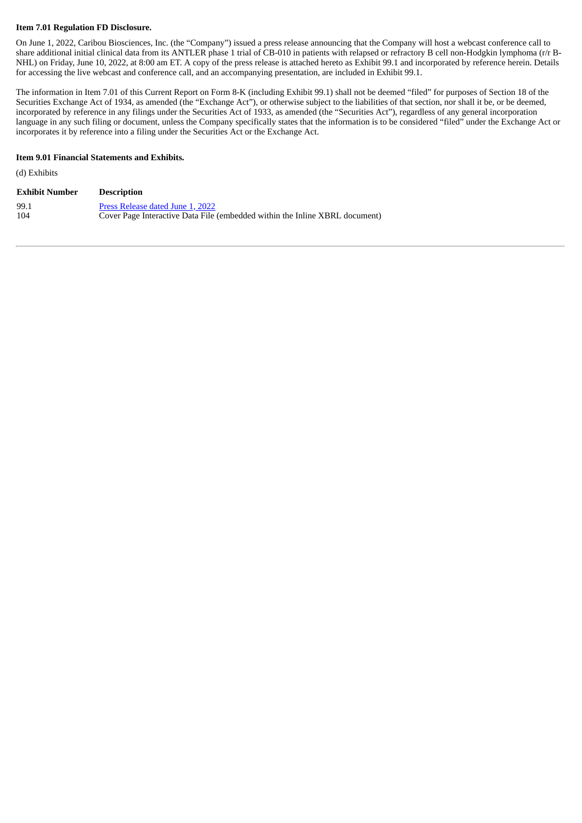#### **Item 7.01 Regulation FD Disclosure.**

On June 1, 2022, Caribou Biosciences, Inc. (the "Company") issued a press release announcing that the Company will host a webcast conference call to share additional initial clinical data from its ANTLER phase 1 trial of CB-010 in patients with relapsed or refractory B cell non-Hodgkin lymphoma (r/r B-NHL) on Friday, June 10, 2022, at 8:00 am ET. A copy of the press release is attached hereto as Exhibit 99.1 and incorporated by reference herein. Details for accessing the live webcast and conference call, and an accompanying presentation, are included in Exhibit 99.1.

The information in Item 7.01 of this Current Report on Form 8-K (including Exhibit 99.1) shall not be deemed "filed" for purposes of Section 18 of the Securities Exchange Act of 1934, as amended (the "Exchange Act"), or otherwise subject to the liabilities of that section, nor shall it be, or be deemed, incorporated by reference in any filings under the Securities Act of 1933, as amended (the "Securities Act"), regardless of any general incorporation language in any such filing or document, unless the Company specifically states that the information is to be considered "filed" under the Exchange Act or incorporates it by reference into a filing under the Securities Act or the Exchange Act.

#### **Item 9.01 Financial Statements and Exhibits.**

(d) Exhibits

| <b>Exhibit Number</b> | <b>Description</b>                                                          |
|-----------------------|-----------------------------------------------------------------------------|
| 99.1                  | Press Release dated June 1, 2022                                            |
| 104                   | Cover Page Interactive Data File (embedded within the Inline XBRL document) |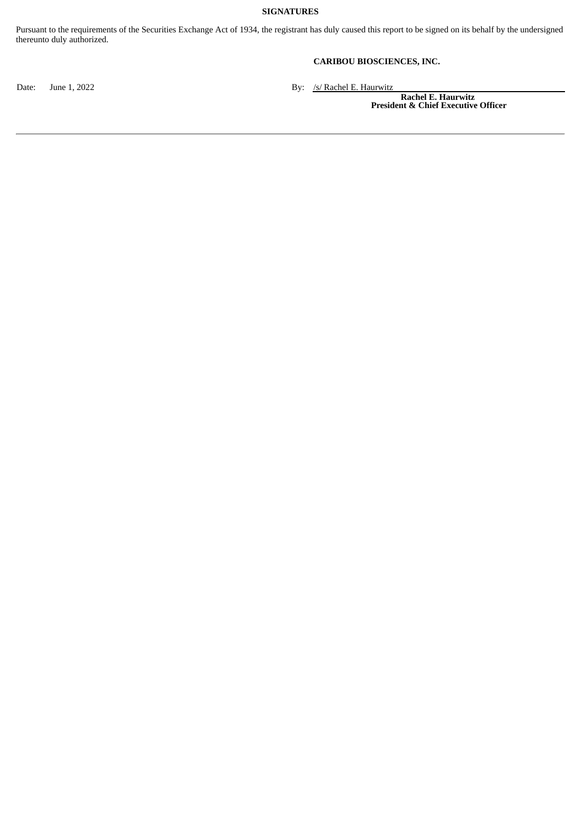#### **SIGNATURES**

Pursuant to the requirements of the Securities Exchange Act of 1934, the registrant has duly caused this report to be signed on its behalf by the undersigned thereunto duly authorized.

#### **CARIBOU BIOSCIENCES, INC.**

Date: June 1, 2022 By: /s/ Rachel E. Haurwitz

**Rachel E. Haurwitz President & Chief Executive Officer**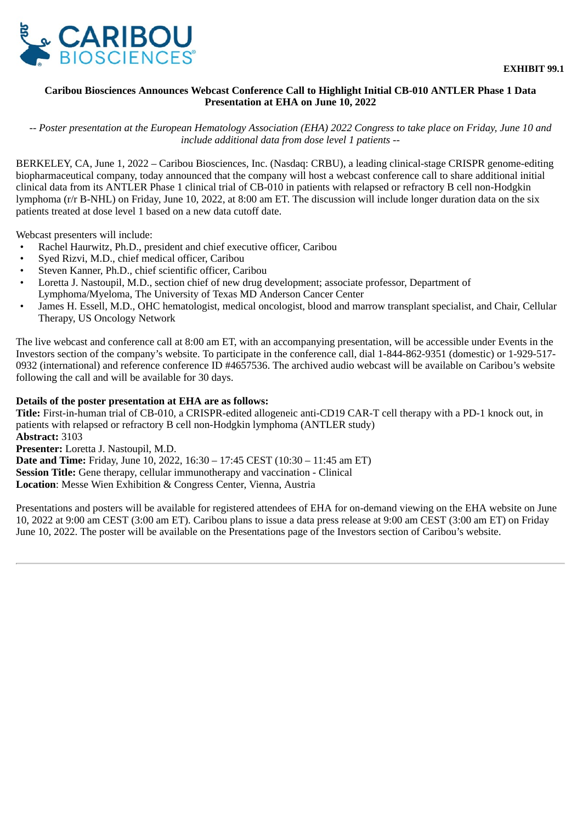<span id="page-3-0"></span>

## **Caribou Biosciences Announces Webcast Conference Call to Highlight Initial CB-010 ANTLER Phase 1 Data Presentation at EHA on June 10, 2022**

*-- Poster presentation at the European Hematology Association (EHA) 2022 Congress to take place on Friday, June 10 and include additional data from dose level 1 patients --*

BERKELEY, CA, June 1, 2022 – Caribou Biosciences, Inc. (Nasdaq: CRBU), a leading clinical-stage CRISPR genome-editing biopharmaceutical company, today announced that the company will host a webcast conference call to share additional initial clinical data from its ANTLER Phase 1 clinical trial of CB-010 in patients with relapsed or refractory B cell non-Hodgkin lymphoma (r/r B-NHL) on Friday, June 10, 2022, at 8:00 am ET. The discussion will include longer duration data on the six patients treated at dose level 1 based on a new data cutoff date.

Webcast presenters will include:

- Rachel Haurwitz, Ph.D., president and chief executive officer, Caribou
- Syed Rizvi, M.D., chief medical officer, Caribou
- Steven Kanner, Ph.D., chief scientific officer, Caribou
- Loretta J. Nastoupil, M.D., section chief of new drug development; associate professor, Department of Lymphoma/Myeloma, The University of Texas MD Anderson Cancer Center
- James H. Essell, M.D., OHC hematologist, medical oncologist, blood and marrow transplant specialist, and Chair, Cellular Therapy, US Oncology Network

The live webcast and conference call at 8:00 am ET, with an accompanying presentation, will be accessible under Events in the Investors section of the company's website. To participate in the conference call, dial 1-844-862-9351 (domestic) or 1-929-517- 0932 (international) and reference conference ID #4657536. The archived audio webcast will be available on Caribou's website following the call and will be available for 30 days.

### **Details of the poster presentation at EHA are as follows:**

**Title:** First-in-human trial of CB-010, a CRISPR-edited allogeneic anti-CD19 CAR-T cell therapy with a PD-1 knock out, in patients with relapsed or refractory B cell non-Hodgkin lymphoma (ANTLER study) **Abstract:** 3103

**Presenter:** Loretta J. Nastoupil, M.D.

**Date and Time:** Friday, June 10, 2022, 16:30 – 17:45 CEST (10:30 – 11:45 am ET)

**Session Title:** Gene therapy, cellular immunotherapy and vaccination - Clinical

**Location**: Messe Wien Exhibition & Congress Center, Vienna, Austria

Presentations and posters will be available for registered attendees of EHA for on-demand viewing on the EHA website on June 10, 2022 at 9:00 am CEST (3:00 am ET). Caribou plans to issue a data press release at 9:00 am CEST (3:00 am ET) on Friday June 10, 2022. The poster will be available on the Presentations page of the Investors section of Caribou's website.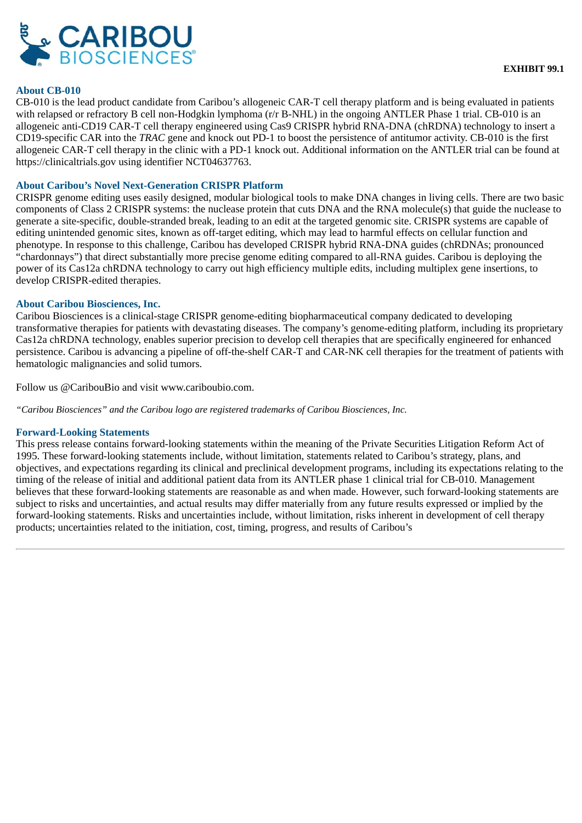

#### **About CB-010**

CB-010 is the lead product candidate from Caribou's allogeneic CAR-T cell therapy platform and is being evaluated in patients with relapsed or refractory B cell non-Hodgkin lymphoma (r/r B-NHL) in the ongoing ANTLER Phase 1 trial. CB-010 is an allogeneic anti-CD19 CAR-T cell therapy engineered using Cas9 CRISPR hybrid RNA-DNA (chRDNA) technology to insert a CD19-specific CAR into the *TRAC* gene and knock out PD-1 to boost the persistence of antitumor activity. CB-010 is the first allogeneic CAR-T cell therapy in the clinic with a PD-1 knock out. Additional information on the ANTLER trial can be found at https://clinicaltrials.gov using identifier NCT04637763.

#### **About Caribou's Novel Next-Generation CRISPR Platform**

CRISPR genome editing uses easily designed, modular biological tools to make DNA changes in living cells. There are two basic components of Class 2 CRISPR systems: the nuclease protein that cuts DNA and the RNA molecule(s) that guide the nuclease to generate a site-specific, double-stranded break, leading to an edit at the targeted genomic site. CRISPR systems are capable of editing unintended genomic sites, known as off-target editing, which may lead to harmful effects on cellular function and phenotype. In response to this challenge, Caribou has developed CRISPR hybrid RNA-DNA guides (chRDNAs; pronounced "chardonnays") that direct substantially more precise genome editing compared to all-RNA guides. Caribou is deploying the power of its Cas12a chRDNA technology to carry out high efficiency multiple edits, including multiplex gene insertions, to develop CRISPR-edited therapies.

#### **About Caribou Biosciences, Inc.**

Caribou Biosciences is a clinical-stage CRISPR genome-editing biopharmaceutical company dedicated to developing transformative therapies for patients with devastating diseases. The company's genome-editing platform, including its proprietary Cas12a chRDNA technology, enables superior precision to develop cell therapies that are specifically engineered for enhanced persistence. Caribou is advancing a pipeline of off-the-shelf CAR-T and CAR-NK cell therapies for the treatment of patients with hematologic malignancies and solid tumors.

Follow us @CaribouBio and visit www.cariboubio.com.

*"Caribou Biosciences" and the Caribou logo are registered trademarks of Caribou Biosciences, Inc.*

#### **Forward-Looking Statements**

This press release contains forward-looking statements within the meaning of the Private Securities Litigation Reform Act of 1995. These forward-looking statements include, without limitation, statements related to Caribou's strategy, plans, and objectives, and expectations regarding its clinical and preclinical development programs, including its expectations relating to the timing of the release of initial and additional patient data from its ANTLER phase 1 clinical trial for CB-010. Management believes that these forward-looking statements are reasonable as and when made. However, such forward-looking statements are subject to risks and uncertainties, and actual results may differ materially from any future results expressed or implied by the forward-looking statements. Risks and uncertainties include, without limitation, risks inherent in development of cell therapy products; uncertainties related to the initiation, cost, timing, progress, and results of Caribou's